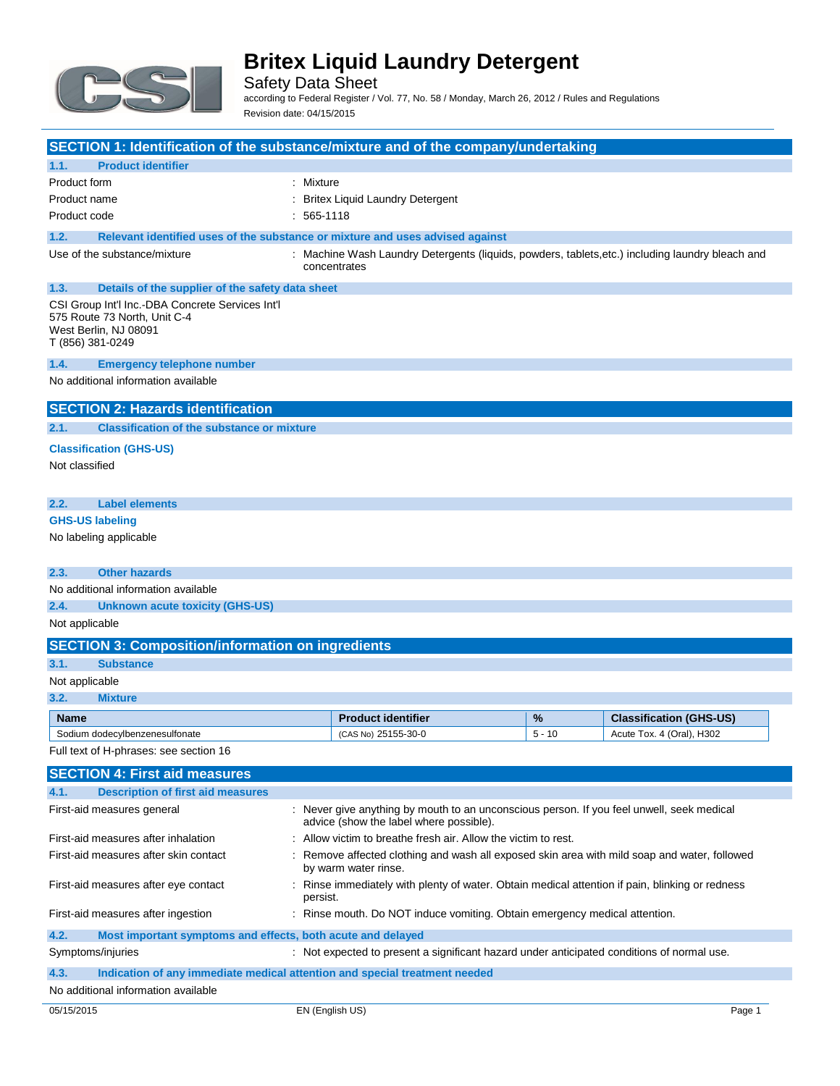

Safety Data Sheet

according to Federal Register / Vol. 77, No. 58 / Monday, March 26, 2012 / Rules and Regulations Revision date: 04/15/2015

| SECTION 1: Identification of the substance/mixture and of the company/undertaking                                             |              |                                                                                                                                      |               |                                                             |
|-------------------------------------------------------------------------------------------------------------------------------|--------------|--------------------------------------------------------------------------------------------------------------------------------------|---------------|-------------------------------------------------------------|
| <b>Product identifier</b><br>1.1.                                                                                             |              |                                                                                                                                      |               |                                                             |
| Product form                                                                                                                  | : Mixture    |                                                                                                                                      |               |                                                             |
| Product name                                                                                                                  |              | <b>Britex Liquid Laundry Detergent</b>                                                                                               |               |                                                             |
| Product code                                                                                                                  | 565-1118     |                                                                                                                                      |               |                                                             |
| Relevant identified uses of the substance or mixture and uses advised against<br>1.2.                                         |              |                                                                                                                                      |               |                                                             |
| Use of the substance/mixture                                                                                                  |              |                                                                                                                                      |               |                                                             |
|                                                                                                                               | concentrates | : Machine Wash Laundry Detergents (liquids, powders, tablets,etc.) including laundry bleach and                                      |               |                                                             |
| 1.3.<br>Details of the supplier of the safety data sheet                                                                      |              |                                                                                                                                      |               |                                                             |
| CSI Group Int'l Inc.-DBA Concrete Services Int'l<br>575 Route 73 North, Unit C-4<br>West Berlin, NJ 08091<br>T (856) 381-0249 |              |                                                                                                                                      |               |                                                             |
| 1.4.<br><b>Emergency telephone number</b>                                                                                     |              |                                                                                                                                      |               |                                                             |
| No additional information available                                                                                           |              |                                                                                                                                      |               |                                                             |
| <b>SECTION 2: Hazards identification</b>                                                                                      |              |                                                                                                                                      |               |                                                             |
| <b>Classification of the substance or mixture</b><br>2.1.                                                                     |              |                                                                                                                                      |               |                                                             |
| <b>Classification (GHS-US)</b>                                                                                                |              |                                                                                                                                      |               |                                                             |
| Not classified                                                                                                                |              |                                                                                                                                      |               |                                                             |
|                                                                                                                               |              |                                                                                                                                      |               |                                                             |
| 2.2.<br><b>Label elements</b>                                                                                                 |              |                                                                                                                                      |               |                                                             |
| <b>GHS-US labeling</b>                                                                                                        |              |                                                                                                                                      |               |                                                             |
| No labeling applicable                                                                                                        |              |                                                                                                                                      |               |                                                             |
|                                                                                                                               |              |                                                                                                                                      |               |                                                             |
| <b>Other hazards</b><br>2.3.                                                                                                  |              |                                                                                                                                      |               |                                                             |
| No additional information available                                                                                           |              |                                                                                                                                      |               |                                                             |
| 2.4.<br><b>Unknown acute toxicity (GHS-US)</b>                                                                                |              |                                                                                                                                      |               |                                                             |
| Not applicable                                                                                                                |              |                                                                                                                                      |               |                                                             |
| <b>SECTION 3: Composition/information on ingredients</b>                                                                      |              |                                                                                                                                      |               |                                                             |
| 3.1.<br><b>Substance</b>                                                                                                      |              |                                                                                                                                      |               |                                                             |
| Not applicable                                                                                                                |              |                                                                                                                                      |               |                                                             |
| 3.2.<br><b>Mixture</b>                                                                                                        |              |                                                                                                                                      |               |                                                             |
|                                                                                                                               |              |                                                                                                                                      |               |                                                             |
| Name<br>Sodium dodecylbenzenesulfonate                                                                                        |              | <b>Product identifier</b><br>(CAS No) 25155-30-0                                                                                     | %<br>$5 - 10$ | <b>Classification (GHS-US)</b><br>Acute Tox. 4 (Oral), H302 |
| Full text of H-phrases: see section 16                                                                                        |              |                                                                                                                                      |               |                                                             |
|                                                                                                                               |              |                                                                                                                                      |               |                                                             |
| <b>SECTION 4: First aid measures</b>                                                                                          |              |                                                                                                                                      |               |                                                             |
| <b>Description of first aid measures</b><br>4.1.                                                                              |              |                                                                                                                                      |               |                                                             |
| First-aid measures general                                                                                                    |              | : Never give anything by mouth to an unconscious person. If you feel unwell, seek medical<br>advice (show the label where possible). |               |                                                             |
| First-aid measures after inhalation                                                                                           |              | Allow victim to breathe fresh air. Allow the victim to rest.                                                                         |               |                                                             |
| First-aid measures after skin contact                                                                                         |              | Remove affected clothing and wash all exposed skin area with mild soap and water, followed<br>by warm water rinse.                   |               |                                                             |
| First-aid measures after eye contact                                                                                          | persist.     | Rinse immediately with plenty of water. Obtain medical attention if pain, blinking or redness                                        |               |                                                             |
| First-aid measures after ingestion                                                                                            |              | : Rinse mouth. Do NOT induce vomiting. Obtain emergency medical attention.                                                           |               |                                                             |
| 4.2.<br>Most important symptoms and effects, both acute and delayed                                                           |              |                                                                                                                                      |               |                                                             |
| Symptoms/injuries                                                                                                             |              | : Not expected to present a significant hazard under anticipated conditions of normal use.                                           |               |                                                             |
| 4.3.<br>Indication of any immediate medical attention and special treatment needed                                            |              |                                                                                                                                      |               |                                                             |
| No additional information available                                                                                           |              |                                                                                                                                      |               |                                                             |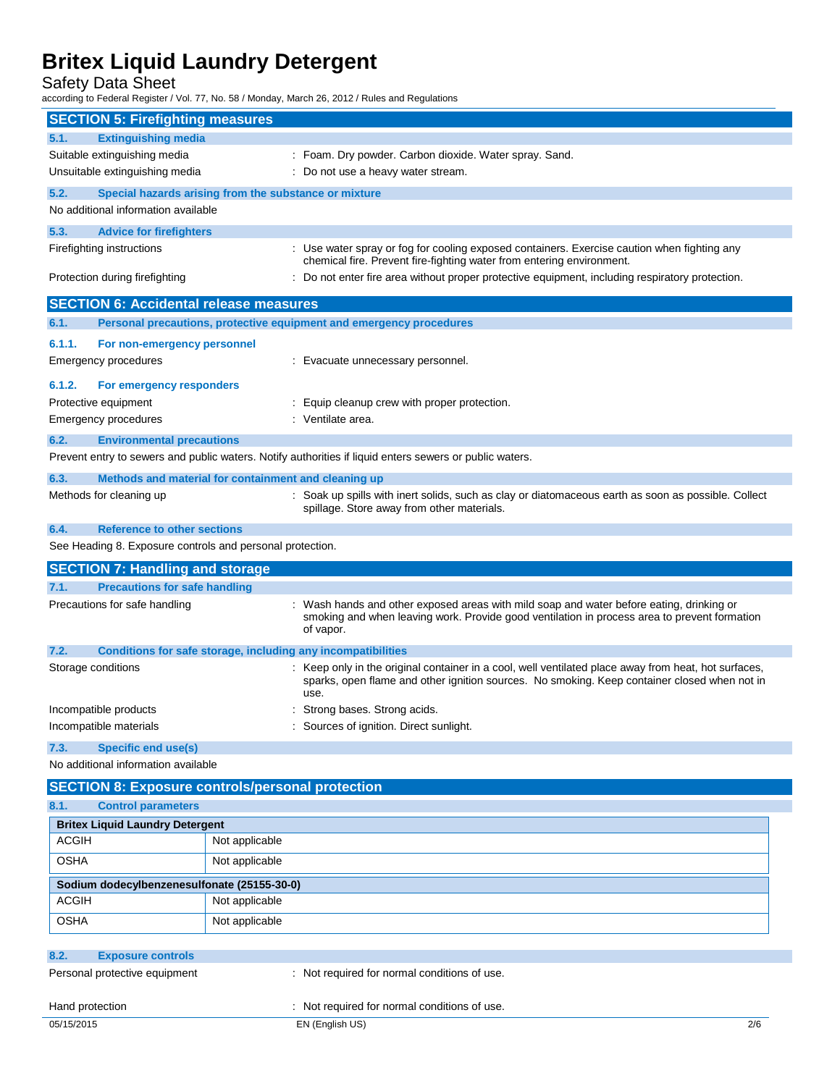Safety Data Sheet

according to Federal Register / Vol. 77, No. 58 / Monday, March 26, 2012 / Rules and Regulations

| <b>SECTION 5: Firefighting measures</b>                              |                |                                                                                                                                                                                                              |
|----------------------------------------------------------------------|----------------|--------------------------------------------------------------------------------------------------------------------------------------------------------------------------------------------------------------|
| <b>Extinguishing media</b><br>5.1.                                   |                |                                                                                                                                                                                                              |
| Suitable extinguishing media                                         |                | : Foam. Dry powder. Carbon dioxide. Water spray. Sand.                                                                                                                                                       |
| Unsuitable extinguishing media                                       |                | : Do not use a heavy water stream.                                                                                                                                                                           |
| 5.2.<br>Special hazards arising from the substance or mixture        |                |                                                                                                                                                                                                              |
| No additional information available                                  |                |                                                                                                                                                                                                              |
| 5.3.<br><b>Advice for firefighters</b>                               |                |                                                                                                                                                                                                              |
| Firefighting instructions                                            |                | : Use water spray or fog for cooling exposed containers. Exercise caution when fighting any<br>chemical fire. Prevent fire-fighting water from entering environment.                                         |
| Protection during firefighting                                       |                | : Do not enter fire area without proper protective equipment, including respiratory protection.                                                                                                              |
| <b>SECTION 6: Accidental release measures</b>                        |                |                                                                                                                                                                                                              |
| 6.1.                                                                 |                | Personal precautions, protective equipment and emergency procedures                                                                                                                                          |
| 6.1.1.<br>For non-emergency personnel                                |                |                                                                                                                                                                                                              |
| Emergency procedures                                                 |                | : Evacuate unnecessary personnel.                                                                                                                                                                            |
| 6.1.2.<br>For emergency responders                                   |                |                                                                                                                                                                                                              |
| Protective equipment                                                 |                | Equip cleanup crew with proper protection.                                                                                                                                                                   |
| Emergency procedures                                                 |                | : Ventilate area.                                                                                                                                                                                            |
| 6.2.<br><b>Environmental precautions</b>                             |                |                                                                                                                                                                                                              |
|                                                                      |                | Prevent entry to sewers and public waters. Notify authorities if liquid enters sewers or public waters.                                                                                                      |
| 6.3.<br>Methods and material for containment and cleaning up         |                |                                                                                                                                                                                                              |
| Methods for cleaning up                                              |                | : Soak up spills with inert solids, such as clay or diatomaceous earth as soon as possible. Collect<br>spillage. Store away from other materials.                                                            |
| <b>Reference to other sections</b><br>6.4.                           |                |                                                                                                                                                                                                              |
| See Heading 8. Exposure controls and personal protection.            |                |                                                                                                                                                                                                              |
|                                                                      |                |                                                                                                                                                                                                              |
| <b>SECTION 7: Handling and storage</b>                               |                |                                                                                                                                                                                                              |
| 7.1.<br><b>Precautions for safe handling</b>                         |                |                                                                                                                                                                                                              |
| Precautions for safe handling                                        |                | : Wash hands and other exposed areas with mild soap and water before eating, drinking or<br>smoking and when leaving work. Provide good ventilation in process area to prevent formation<br>of vapor.        |
| Conditions for safe storage, including any incompatibilities<br>7.2. |                |                                                                                                                                                                                                              |
| Storage conditions                                                   |                | : Keep only in the original container in a cool, well ventilated place away from heat, hot surfaces,<br>sparks, open flame and other ignition sources. No smoking. Keep container closed when not in<br>use. |
| Incompatible products                                                |                | Strong bases. Strong acids.                                                                                                                                                                                  |
| Incompatible materials                                               |                | Sources of ignition. Direct sunlight.                                                                                                                                                                        |
| <b>Specific end use(s)</b><br>7.3.                                   |                |                                                                                                                                                                                                              |
| No additional information available                                  |                |                                                                                                                                                                                                              |
| <b>SECTION 8: Exposure controls/personal protection</b>              |                |                                                                                                                                                                                                              |
| 8.1.<br><b>Control parameters</b>                                    |                |                                                                                                                                                                                                              |
| <b>Britex Liquid Laundry Detergent</b>                               |                |                                                                                                                                                                                                              |
| <b>ACGIH</b>                                                         | Not applicable |                                                                                                                                                                                                              |
| <b>OSHA</b>                                                          | Not applicable |                                                                                                                                                                                                              |
| Sodium dodecylbenzenesulfonate (25155-30-0)                          |                |                                                                                                                                                                                                              |
| <b>ACGIH</b>                                                         | Not applicable |                                                                                                                                                                                                              |
| <b>OSHA</b>                                                          | Not applicable |                                                                                                                                                                                                              |
| 8.2.<br><b>Exposure controls</b>                                     |                |                                                                                                                                                                                                              |
| Personal protective equipment                                        |                | : Not required for normal conditions of use.                                                                                                                                                                 |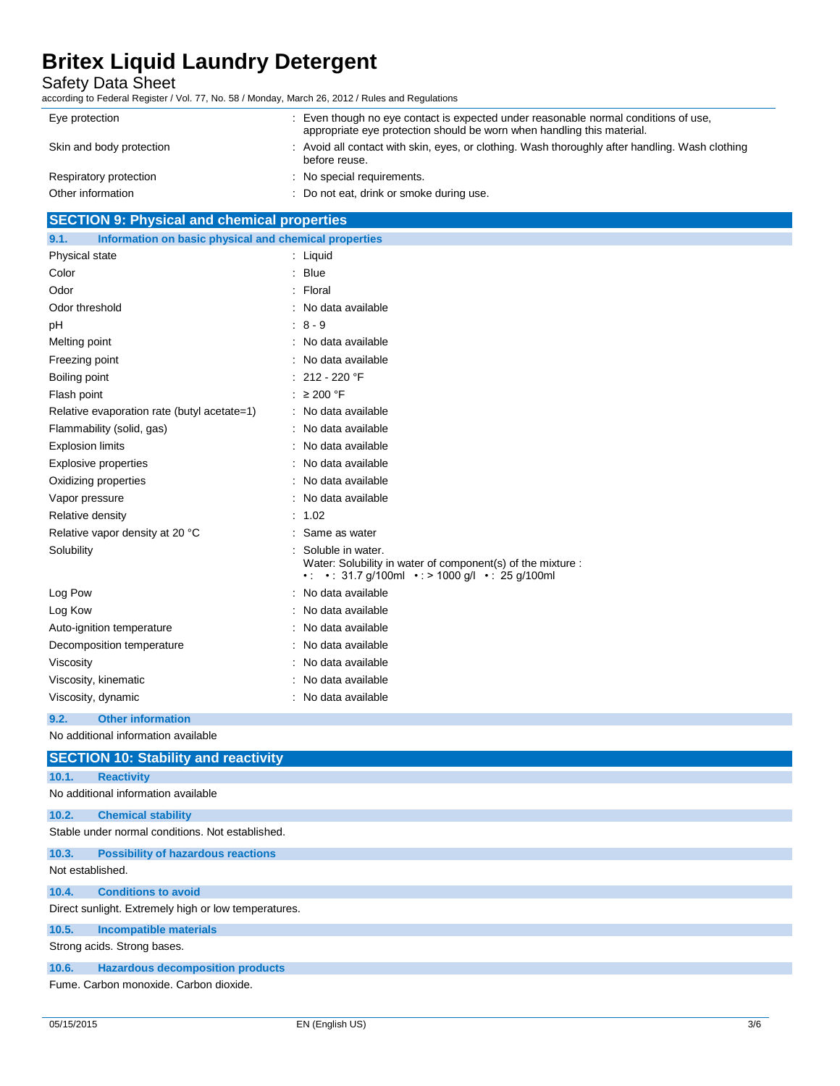Safety Data Sheet

according to Federal Register / Vol. 77, No. 58 / Monday, March 26, 2012 / Rules and Regulations

| Eye protection           | : Even though no eye contact is expected under reasonable normal conditions of use,<br>appropriate eye protection should be worn when handling this material. |
|--------------------------|---------------------------------------------------------------------------------------------------------------------------------------------------------------|
| Skin and body protection | : Avoid all contact with skin, eyes, or clothing. Wash thoroughly after handling. Wash clothing<br>before reuse.                                              |
| Respiratory protection   | : No special requirements.                                                                                                                                    |
| Other information        | : Do not eat, drink or smoke during use.                                                                                                                      |

# **SECTION 9: Physical and chemical properties**

| Information on basic physical and chemical properties<br>9.1. |                                                                                                                                |  |
|---------------------------------------------------------------|--------------------------------------------------------------------------------------------------------------------------------|--|
| Physical state                                                | : Liquid                                                                                                                       |  |
| Color                                                         | <b>Blue</b>                                                                                                                    |  |
| Odor                                                          | Floral                                                                                                                         |  |
| Odor threshold                                                | No data available                                                                                                              |  |
| pH                                                            | $8 - 9$                                                                                                                        |  |
| Melting point                                                 | No data available                                                                                                              |  |
| Freezing point                                                | No data available                                                                                                              |  |
| Boiling point                                                 | 212 - 220 °F                                                                                                                   |  |
| Flash point                                                   | $\geq$ 200 °F                                                                                                                  |  |
| Relative evaporation rate (butyl acetate=1)                   | No data available                                                                                                              |  |
| Flammability (solid, gas)                                     | No data available                                                                                                              |  |
| <b>Explosion limits</b>                                       | No data available                                                                                                              |  |
| <b>Explosive properties</b>                                   | No data available                                                                                                              |  |
| Oxidizing properties                                          | No data available                                                                                                              |  |
| Vapor pressure                                                | No data available                                                                                                              |  |
| Relative density                                              | 1.02                                                                                                                           |  |
| Relative vapor density at 20 °C                               | Same as water                                                                                                                  |  |
| Solubility                                                    | Soluble in water.<br>Water: Solubility in water of component(s) of the mixture :<br>• • 31.7 g/100ml • > 1000 g/l • 25 g/100ml |  |
| Log Pow                                                       | No data available                                                                                                              |  |
| Log Kow                                                       | No data available                                                                                                              |  |
| Auto-ignition temperature                                     | No data available                                                                                                              |  |
| Decomposition temperature                                     | No data available                                                                                                              |  |
| Viscosity                                                     | No data available                                                                                                              |  |
| Viscosity, kinematic                                          | No data available                                                                                                              |  |
| Viscosity, dynamic                                            | No data available                                                                                                              |  |
| <b>Other information</b><br>9.2.                              |                                                                                                                                |  |
| No additional information available                           |                                                                                                                                |  |
| <b>SECTION 10: Stability and reactivity</b>                   |                                                                                                                                |  |

| 10.1.            | <b>Reactivity</b>                                    |
|------------------|------------------------------------------------------|
|                  | No additional information available                  |
| 10.2.            | <b>Chemical stability</b>                            |
|                  | Stable under normal conditions. Not established.     |
| 10.3.            | <b>Possibility of hazardous reactions</b>            |
| Not established. |                                                      |
| 10.4.            | <b>Conditions to avoid</b>                           |
|                  | Direct sunlight. Extremely high or low temperatures. |
| 10.5.            | <b>Incompatible materials</b>                        |
|                  | Strong acids. Strong bases.                          |
| 10.6.            | <b>Hazardous decomposition products</b>              |
|                  | Fume, Carbon monoxide, Carbon dioxide.               |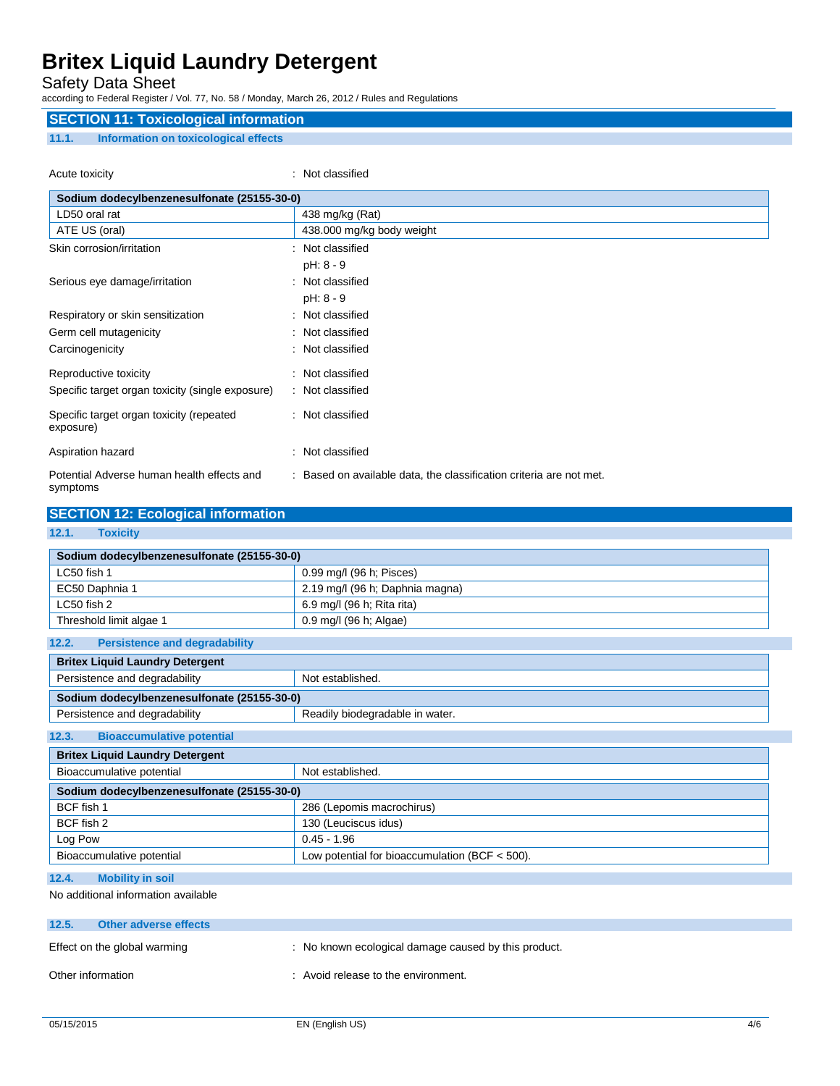## Safety Data Sheet

according to Federal Register / Vol. 77, No. 58 / Monday, March 26, 2012 / Rules and Regulations

## **SECTION 11: Toxicological information**

## **11.1. Information on toxicological effects**

Acute toxicity **in the case of the contract of the contract of the contract of the contract of the contract of the contract of the contract of the contract of the contract of the contract of the contract of the contract of** 

| Sodium dodecylbenzenesulfonate (25155-30-0)            |                                                                     |  |  |
|--------------------------------------------------------|---------------------------------------------------------------------|--|--|
| LD50 oral rat                                          | 438 mg/kg (Rat)                                                     |  |  |
| ATE US (oral)                                          | 438.000 mg/kg body weight                                           |  |  |
| Skin corrosion/irritation                              | : Not classified                                                    |  |  |
|                                                        | pH: 8 - 9                                                           |  |  |
| Serious eye damage/irritation                          | : Not classified                                                    |  |  |
|                                                        | $pH: 8 - 9$                                                         |  |  |
| Respiratory or skin sensitization                      | : Not classified                                                    |  |  |
| Germ cell mutagenicity                                 | : Not classified                                                    |  |  |
| Carcinogenicity                                        | : Not classified                                                    |  |  |
| Reproductive toxicity                                  | : Not classified                                                    |  |  |
| Specific target organ toxicity (single exposure)       | : Not classified                                                    |  |  |
| Specific target organ toxicity (repeated<br>exposure)  | : Not classified                                                    |  |  |
| Aspiration hazard                                      | Not classified<br>÷                                                 |  |  |
| Potential Adverse human health effects and<br>symptoms | : Based on available data, the classification criteria are not met. |  |  |

## **SECTION 12: Ecological information**

### **12.1. Toxicity**

| Sodium dodecylbenzenesulfonate (25155-30-0) |                                 |  |  |
|---------------------------------------------|---------------------------------|--|--|
| LC50 fish 1                                 | 0.99 mg/l (96 h; Pisces)        |  |  |
| EC50 Daphnia 1                              | 2.19 mg/l (96 h; Daphnia magna) |  |  |
| LC50 fish 2                                 | 6.9 mg/l (96 h; Rita rita)      |  |  |
| Threshold limit algae 1                     | 0.9 mg/l (96 h; Algae)          |  |  |

| <b>Britex Liquid Laundry Detergent</b>      |  |  |  |
|---------------------------------------------|--|--|--|
| Not established.                            |  |  |  |
| Sodium dodecylbenzenesulfonate (25155-30-0) |  |  |  |
| Readily biodegradable in water.             |  |  |  |
|                                             |  |  |  |

## **12.3. Bioaccumulative potential**

| <b>Britex Liquid Laundry Detergent</b>      |                                                  |  |
|---------------------------------------------|--------------------------------------------------|--|
| Bioaccumulative potential                   | Not established.                                 |  |
| Sodium dodecylbenzenesulfonate (25155-30-0) |                                                  |  |
| BCF fish 1                                  | 286 (Lepomis macrochirus)                        |  |
| BCF fish 2                                  | 130 (Leuciscus idus)                             |  |
| Log Pow                                     | $0.45 - 1.96$                                    |  |
| Bioaccumulative potential                   | Low potential for bioaccumulation (BCF $<$ 500). |  |

## **12.4. Mobility in soil**

No additional information available

| 12.5.             | Other adverse effects        |                                                      |
|-------------------|------------------------------|------------------------------------------------------|
|                   | Effect on the global warming | : No known ecological damage caused by this product. |
| Other information |                              | : Avoid release to the environment.                  |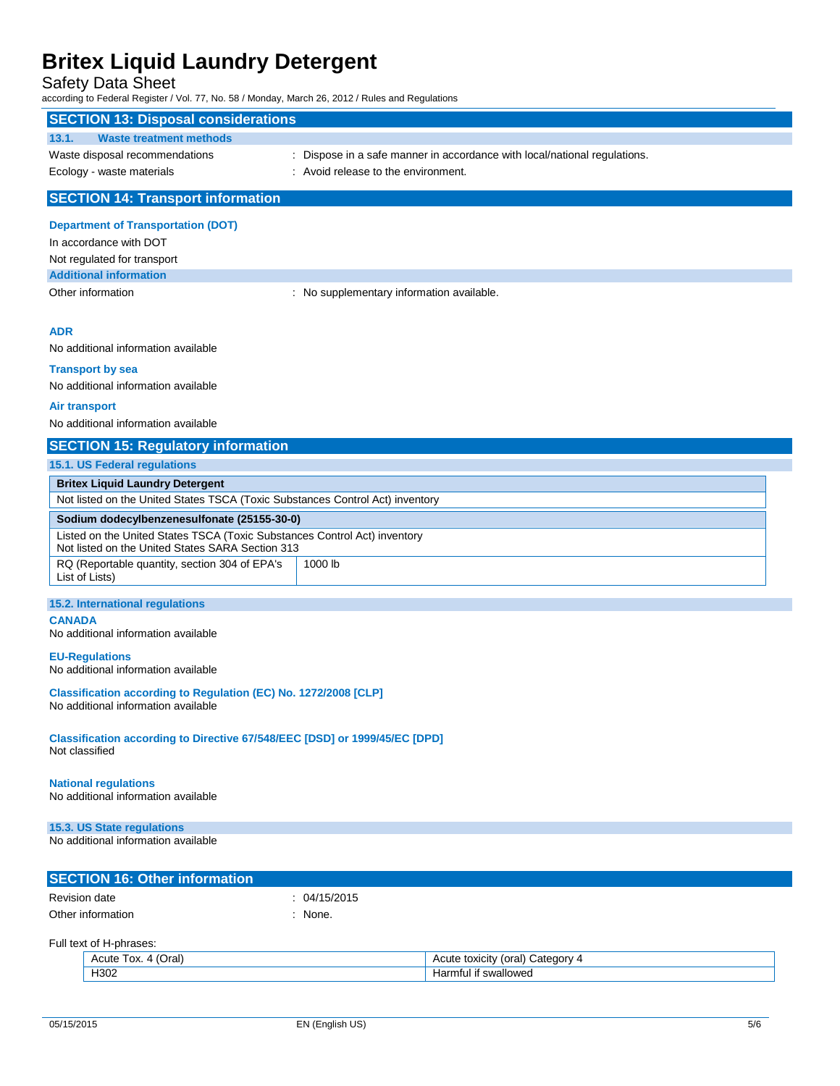## Safety Data Sheet

| according to Federal Register / Vol. 77, No. 58 / Monday, March 26, 2012 / Rules and Regulations                              |                                                                           |
|-------------------------------------------------------------------------------------------------------------------------------|---------------------------------------------------------------------------|
| <b>SECTION 13: Disposal considerations</b>                                                                                    |                                                                           |
| <b>Waste treatment methods</b><br>13.1.                                                                                       |                                                                           |
| Waste disposal recommendations                                                                                                | : Dispose in a safe manner in accordance with local/national regulations. |
| Ecology - waste materials                                                                                                     | : Avoid release to the environment.                                       |
| <b>SECTION 14: Transport information</b>                                                                                      |                                                                           |
| <b>Department of Transportation (DOT)</b>                                                                                     |                                                                           |
| In accordance with DOT                                                                                                        |                                                                           |
| Not regulated for transport                                                                                                   |                                                                           |
| <b>Additional information</b>                                                                                                 |                                                                           |
| Other information                                                                                                             | : No supplementary information available.                                 |
| <b>ADR</b>                                                                                                                    |                                                                           |
| No additional information available                                                                                           |                                                                           |
| <b>Transport by sea</b>                                                                                                       |                                                                           |
| No additional information available                                                                                           |                                                                           |
| Air transport                                                                                                                 |                                                                           |
| No additional information available                                                                                           |                                                                           |
| <b>SECTION 15: Regulatory information</b>                                                                                     |                                                                           |
| 15.1. US Federal regulations                                                                                                  |                                                                           |
| <b>Britex Liquid Laundry Detergent</b>                                                                                        |                                                                           |
| Not listed on the United States TSCA (Toxic Substances Control Act) inventory                                                 |                                                                           |
| Sodium dodecylbenzenesulfonate (25155-30-0)                                                                                   |                                                                           |
| Listed on the United States TSCA (Toxic Substances Control Act) inventory<br>Not listed on the United States SARA Section 313 |                                                                           |
| RQ (Reportable quantity, section 304 of EPA's<br>List of Lists)                                                               | 1000 lb                                                                   |
| 15.2. International regulations                                                                                               |                                                                           |
| <b>CANADA</b><br>No additional information available                                                                          |                                                                           |
| <b>EU-Regulations</b><br>No additional information available                                                                  |                                                                           |
| Classification according to Regulation (EC) No. 1272/2008 [CLP]<br>No additional information available                        |                                                                           |
| Classification according to Directive 67/548/EEC [DSD] or 1999/45/EC [DPD]<br>Not classified                                  |                                                                           |
| <b>National regulations</b><br>No additional information available                                                            |                                                                           |
| 15.3. US State regulations                                                                                                    |                                                                           |
| No additional information available                                                                                           |                                                                           |
| <b>SECTION 16: Other information</b>                                                                                          |                                                                           |
| <b>Revision date</b>                                                                                                          | 04/15/2015                                                                |
| Other information                                                                                                             | : None.                                                                   |
|                                                                                                                               |                                                                           |

| 'Oral<br>TOX.<br>Acute<br>$\mathbf{u}$ | Jateαor∨<br>oral<br>toxicity<br>nuuu |
|----------------------------------------|--------------------------------------|
| ⊣จ∩ว                                   | . .<br>swalloweo<br>nru<br>ш<br>Tal  |